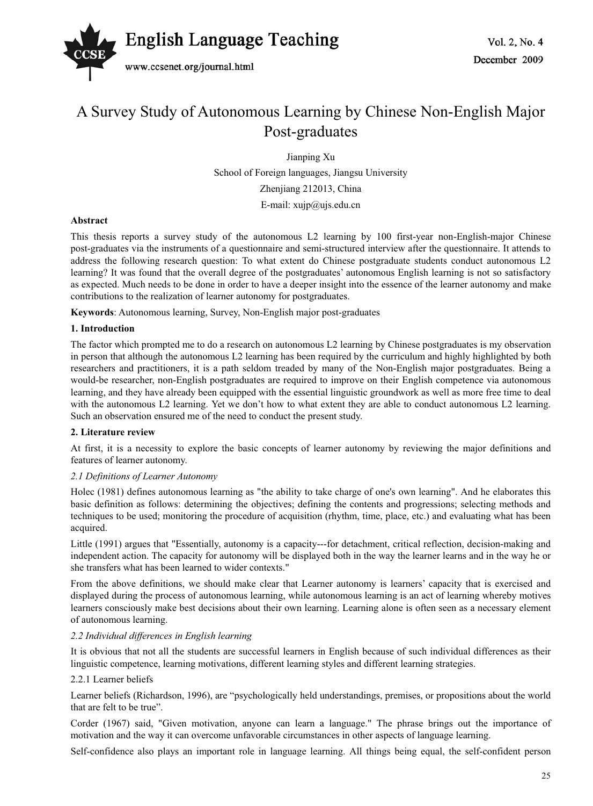

# A Survey Study of Autonomous Learning by Chinese Non-English Major Post-graduates

Jianping Xu

School of Foreign languages, Jiangsu University Zhenjiang 212013, China E-mail:  $xujp@ujs.edu.cn$ 

## **Abstract**

This thesis reports a survey study of the autonomous L2 learning by 100 first-year non-English-major Chinese post-graduates via the instruments of a questionnaire and semi-structured interview after the questionnaire. It attends to address the following research question: To what extent do Chinese postgraduate students conduct autonomous L2 learning? It was found that the overall degree of the postgraduates' autonomous English learning is not so satisfactory as expected. Much needs to be done in order to have a deeper insight into the essence of the learner autonomy and make contributions to the realization of learner autonomy for postgraduates.

**Keywords**: Autonomous learning, Survey, Non-English major post-graduates

## **1. Introduction**

The factor which prompted me to do a research on autonomous L2 learning by Chinese postgraduates is my observation in person that although the autonomous L2 learning has been required by the curriculum and highly highlighted by both researchers and practitioners, it is a path seldom treaded by many of the Non-English major postgraduates. Being a would-be researcher, non-English postgraduates are required to improve on their English competence via autonomous learning, and they have already been equipped with the essential linguistic groundwork as well as more free time to deal with the autonomous L2 learning. Yet we don't how to what extent they are able to conduct autonomous L2 learning. Such an observation ensured me of the need to conduct the present study.

#### **2. Literature review**

At first, it is a necessity to explore the basic concepts of learner autonomy by reviewing the major definitions and features of learner autonomy.

#### *2.1 Definitions of Learner Autonomy*

Holec (1981) defines autonomous learning as "the ability to take charge of one's own learning". And he elaborates this basic definition as follows: determining the objectives; defining the contents and progressions; selecting methods and techniques to be used; monitoring the procedure of acquisition (rhythm, time, place, etc.) and evaluating what has been acquired.

Little (1991) argues that "Essentially, autonomy is a capacity---for detachment, critical reflection, decision-making and independent action. The capacity for autonomy will be displayed both in the way the learner learns and in the way he or she transfers what has been learned to wider contexts."

From the above definitions, we should make clear that Learner autonomy is learners' capacity that is exercised and displayed during the process of autonomous learning, while autonomous learning is an act of learning whereby motives learners consciously make best decisions about their own learning. Learning alone is often seen as a necessary element of autonomous learning.

#### *2.2 Individual differences in English learning*

It is obvious that not all the students are successful learners in English because of such individual differences as their linguistic competence, learning motivations, different learning styles and different learning strategies.

#### 2.2.1 Learner beliefs

Learner beliefs (Richardson, 1996), are "psychologically held understandings, premises, or propositions about the world that are felt to be true".

Corder (1967) said, "Given motivation, anyone can learn a language." The phrase brings out the importance of motivation and the way it can overcome unfavorable circumstances in other aspects of language learning.

Self-confidence also plays an important role in language learning. All things being equal, the self-confident person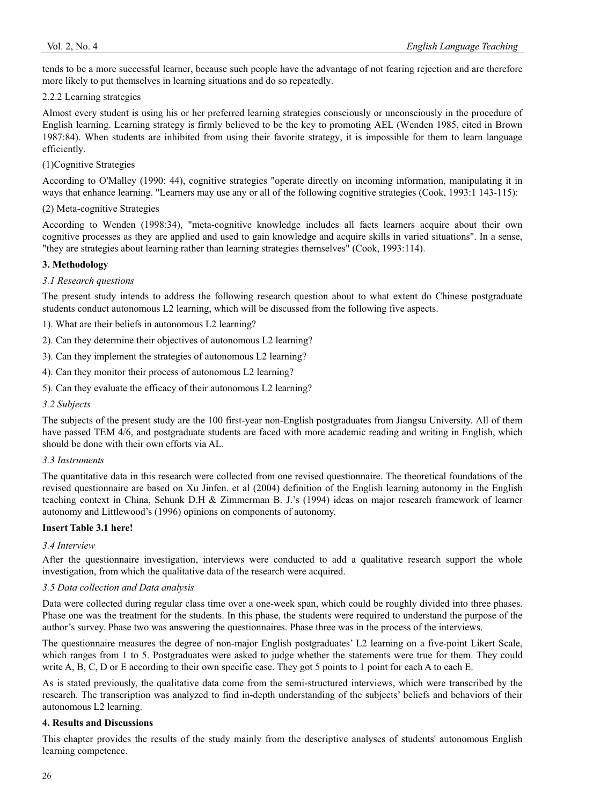tends to be a more successful learner, because such people have the advantage of not fearing rejection and are therefore more likely to put themselves in learning situations and do so repeatedly.

## 2.2.2 Learning strategies

Almost every student is using his or her preferred learning strategies consciously or unconsciously in the procedure of English learning. Learning strategy is firmly believed to be the key to promoting AEL (Wenden 1985, cited in Brown 1987:84). When students are inhibited from using their favorite strategy, it is impossible for them to learn language efficiently.

# (1)Cognitive Strategies

According to O'Malley (1990: 44), cognitive strategies "operate directly on incoming information, manipulating it in ways that enhance learning. "Learners may use any or all of the following cognitive strategies (Cook, 1993:1 143-115):

# (2) Meta-cognitive Strategies

According to Wenden (1998:34), "meta-cognitive knowledge includes all facts learners acquire about their own cognitive processes as they are applied and used to gain knowledge and acquire skills in varied situations". In a sense, "they are strategies about learning rather than learning strategies themselves" (Cook, 1993:114).

# **3. Methodology**

## *3.1 Research questions*

The present study intends to address the following research question about to what extent do Chinese postgraduate students conduct autonomous L2 learning, which will be discussed from the following five aspects.

1). What are their beliefs in autonomous L2 learning?

2). Can they determine their objectives of autonomous L2 learning?

3). Can they implement the strategies of autonomous L2 learning?

4). Can they monitor their process of autonomous L2 learning?

5). Can they evaluate the efficacy of their autonomous L2 learning?

#### *3.2 Subjects*

The subjects of the present study are the 100 first-year non-English postgraduates from Jiangsu University. All of them have passed TEM 4/6, and postgraduate students are faced with more academic reading and writing in English, which should be done with their own efforts via AL.

## *3.3 Instruments*

The quantitative data in this research were collected from one revised questionnaire. The theoretical foundations of the revised questionnaire are based on Xu Jinfen. et al (2004) definition of the English learning autonomy in the English teaching context in China, Schunk D.H & Zimmerman B. J.'s (1994) ideas on major research framework of learner autonomy and Littlewood's (1996) opinions on components of autonomy.

# **Insert Table 3.1 here!**

#### *3.4 Interview*

After the questionnaire investigation, interviews were conducted to add a qualitative research support the whole investigation, from which the qualitative data of the research were acquired.

#### *3.5 Data collection and Data analysis*

Data were collected during regular class time over a one-week span, which could be roughly divided into three phases. Phase one was the treatment for the students. In this phase, the students were required to understand the purpose of the author's survey. Phase two was answering the questionnaires. Phase three was in the process of the interviews.

The questionnaire measures the degree of non-major English postgraduates' L2 learning on a five-point Likert Scale, which ranges from 1 to 5. Postgraduates were asked to judge whether the statements were true for them. They could write A, B, C, D or E according to their own specific case. They got 5 points to 1 point for each A to each E.

As is stated previously, the qualitative data come from the semi-structured interviews, which were transcribed by the research. The transcription was analyzed to find in-depth understanding of the subjects' beliefs and behaviors of their autonomous L2 learning.

#### **4. Results and Discussions**

This chapter provides the results of the study mainly from the descriptive analyses of students' autonomous English learning competence.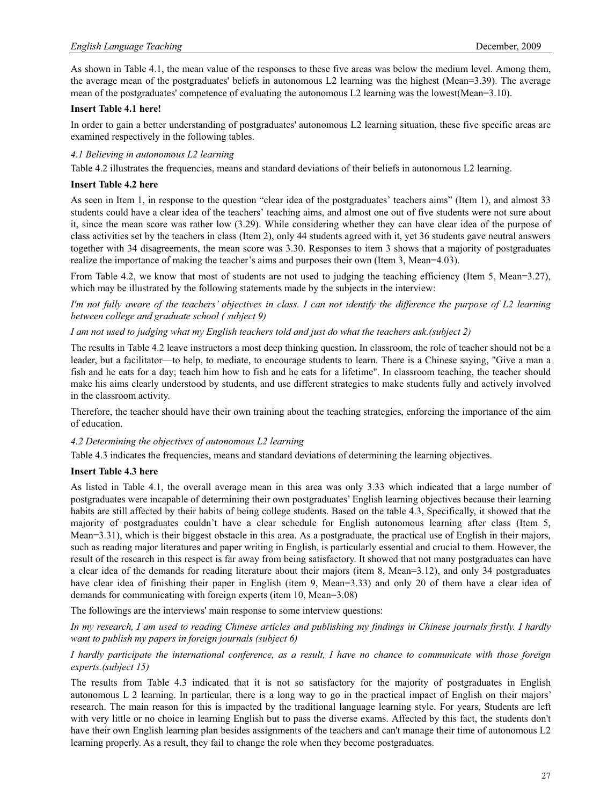As shown in Table 4.1, the mean value of the responses to these five areas was below the medium level. Among them, the average mean of the postgraduates' beliefs in autonomous L2 learning was the highest (Mean=3.39). The average mean of the postgraduates' competence of evaluating the autonomous L2 learning was the lowest(Mean=3.10).

# **Insert Table 4.1 here!**

In order to gain a better understanding of postgraduates' autonomous L2 learning situation, these five specific areas are examined respectively in the following tables.

### *4.1 Believing in autonomous L2 learning*

Table 4.2 illustrates the frequencies, means and standard deviations of their beliefs in autonomous L2 learning.

# **Insert Table 4.2 here**

As seen in Item 1, in response to the question "clear idea of the postgraduates' teachers aims" (Item 1), and almost 33 students could have a clear idea of the teachers' teaching aims, and almost one out of five students were not sure about it, since the mean score was rather low (3.29). While considering whether they can have clear idea of the purpose of class activities set by the teachers in class (Item 2), only 44 students agreed with it, yet 36 students gave neutral answers together with 34 disagreements, the mean score was 3.30. Responses to item 3 shows that a majority of postgraduates realize the importance of making the teacher's aims and purposes their own (Item 3, Mean=4.03).

From Table 4.2, we know that most of students are not used to judging the teaching efficiency (Item 5, Mean=3.27), which may be illustrated by the following statements made by the subjects in the interview:

*I'm not fully aware of the teachers' objectives in class. I can not identify the difference the purpose of L2 learning between college and graduate school ( subject 9)* 

*I am not used to judging what my English teachers told and just do what the teachers ask.(subject 2)* 

The results in Table 4.2 leave instructors a most deep thinking question. In classroom, the role of teacher should not be a leader, but a facilitator—to help, to mediate, to encourage students to learn. There is a Chinese saying, "Give a man a fish and he eats for a day; teach him how to fish and he eats for a lifetime". In classroom teaching, the teacher should make his aims clearly understood by students, and use different strategies to make students fully and actively involved in the classroom activity.

Therefore, the teacher should have their own training about the teaching strategies, enforcing the importance of the aim of education.

#### *4.2 Determining the objectives of autonomous L2 learning*

Table 4.3 indicates the frequencies, means and standard deviations of determining the learning objectives.

#### **Insert Table 4.3 here**

As listed in Table 4.1, the overall average mean in this area was only 3.33 which indicated that a large number of postgraduates were incapable of determining their own postgraduates' English learning objectives because their learning habits are still affected by their habits of being college students. Based on the table 4.3, Specifically, it showed that the majority of postgraduates couldn't have a clear schedule for English autonomous learning after class (Item 5, Mean=3.31), which is their biggest obstacle in this area. As a postgraduate, the practical use of English in their majors, such as reading major literatures and paper writing in English, is particularly essential and crucial to them. However, the result of the research in this respect is far away from being satisfactory. It showed that not many postgraduates can have a clear idea of the demands for reading literature about their majors (item 8, Mean=3.12), and only 34 postgraduates have clear idea of finishing their paper in English (item 9, Mean=3.33) and only 20 of them have a clear idea of demands for communicating with foreign experts (item 10, Mean=3.08)

The followings are the interviews' main response to some interview questions:

*In my research, I am used to reading Chinese articles and publishing my findings in Chinese journals firstly. I hardly want to publish my papers in foreign journals (subject 6)* 

*I hardly participate the international conference, as a result, I have no chance to communicate with those foreign experts.(subject 15)* 

The results from Table 4.3 indicated that it is not so satisfactory for the majority of postgraduates in English autonomous L 2 learning. In particular, there is a long way to go in the practical impact of English on their majors' research. The main reason for this is impacted by the traditional language learning style. For years, Students are left with very little or no choice in learning English but to pass the diverse exams. Affected by this fact, the students don't have their own English learning plan besides assignments of the teachers and can't manage their time of autonomous L2 learning properly. As a result, they fail to change the role when they become postgraduates.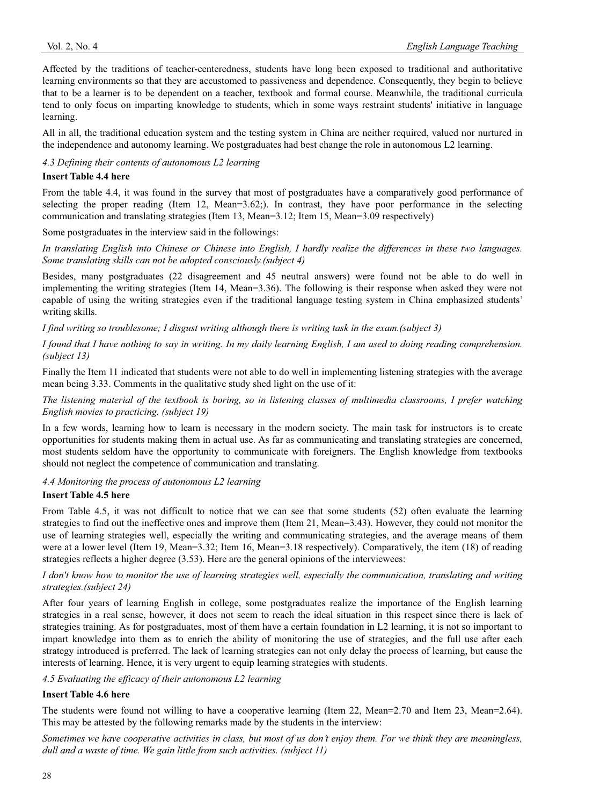Affected by the traditions of teacher-centeredness, students have long been exposed to traditional and authoritative learning environments so that they are accustomed to passiveness and dependence. Consequently, they begin to believe that to be a learner is to be dependent on a teacher, textbook and formal course. Meanwhile, the traditional curricula tend to only focus on imparting knowledge to students, which in some ways restraint students' initiative in language learning.

All in all, the traditional education system and the testing system in China are neither required, valued nor nurtured in the independence and autonomy learning. We postgraduates had best change the role in autonomous L2 learning.

*4.3 Defining their contents of autonomous L2 learning* 

# **Insert Table 4.4 here**

From the table 4.4, it was found in the survey that most of postgraduates have a comparatively good performance of selecting the proper reading (Item 12, Mean=3.62;). In contrast, they have poor performance in the selecting communication and translating strategies (Item 13, Mean=3.12; Item 15, Mean=3.09 respectively)

Some postgraduates in the interview said in the followings:

*In translating English into Chinese or Chinese into English, I hardly realize the differences in these two languages. Some translating skills can not be adopted consciously.(subject 4)* 

Besides, many postgraduates (22 disagreement and 45 neutral answers) were found not be able to do well in implementing the writing strategies (Item 14, Mean=3.36). The following is their response when asked they were not capable of using the writing strategies even if the traditional language testing system in China emphasized students' writing skills.

*I find writing so troublesome; I disgust writing although there is writing task in the exam.(subject 3)* 

*I found that I have nothing to say in writing. In my daily learning English, I am used to doing reading comprehension. (subject 13)* 

Finally the Item 11 indicated that students were not able to do well in implementing listening strategies with the average mean being 3.33. Comments in the qualitative study shed light on the use of it:

*The listening material of the textbook is boring, so in listening classes of multimedia classrooms, I prefer watching English movies to practicing. (subject 19)* 

In a few words, learning how to learn is necessary in the modern society. The main task for instructors is to create opportunities for students making them in actual use. As far as communicating and translating strategies are concerned, most students seldom have the opportunity to communicate with foreigners. The English knowledge from textbooks should not neglect the competence of communication and translating.

*4.4 Monitoring the process of autonomous L2 learning* 

# **Insert Table 4.5 here**

From Table 4.5, it was not difficult to notice that we can see that some students (52) often evaluate the learning strategies to find out the ineffective ones and improve them (Item 21, Mean=3.43). However, they could not monitor the use of learning strategies well, especially the writing and communicating strategies, and the average means of them were at a lower level (Item 19, Mean=3.32; Item 16, Mean=3.18 respectively). Comparatively, the item (18) of reading strategies reflects a higher degree (3.53). Here are the general opinions of the interviewees:

*I don't know how to monitor the use of learning strategies well, especially the communication, translating and writing strategies.(subject 24)* 

After four years of learning English in college, some postgraduates realize the importance of the English learning strategies in a real sense, however, it does not seem to reach the ideal situation in this respect since there is lack of strategies training. As for postgraduates, most of them have a certain foundation in L2 learning, it is not so important to impart knowledge into them as to enrich the ability of monitoring the use of strategies, and the full use after each strategy introduced is preferred. The lack of learning strategies can not only delay the process of learning, but cause the interests of learning. Hence, it is very urgent to equip learning strategies with students.

*4.5 Evaluating the efficacy of their autonomous L2 learning* 

# **Insert Table 4.6 here**

The students were found not willing to have a cooperative learning (Item 22, Mean=2.70 and Item 23, Mean=2.64). This may be attested by the following remarks made by the students in the interview:

*Sometimes we have cooperative activities in class, but most of us don't enjoy them. For we think they are meaningless, dull and a waste of time. We gain little from such activities. (subject 11)*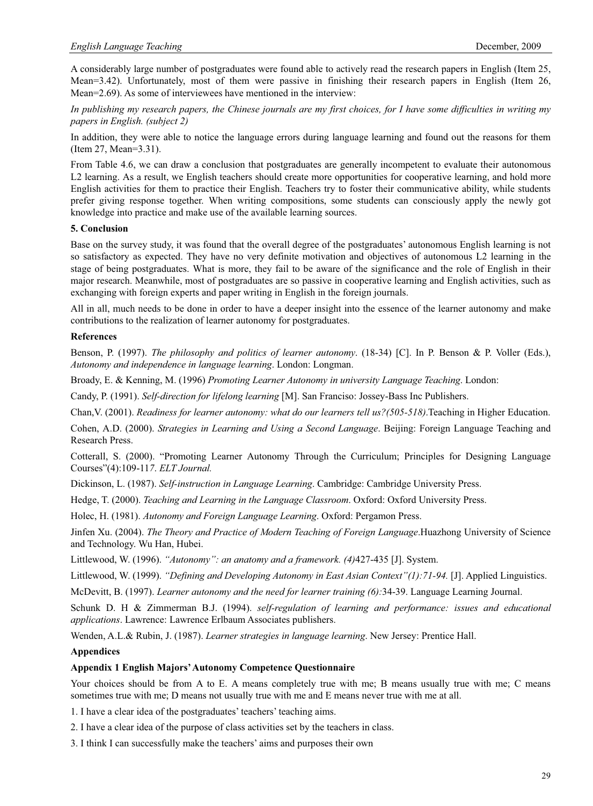A considerably large number of postgraduates were found able to actively read the research papers in English (Item 25, Mean=3.42). Unfortunately, most of them were passive in finishing their research papers in English (Item 26, Mean=2.69). As some of interviewees have mentioned in the interview:

*In publishing my research papers, the Chinese journals are my first choices, for I have some difficulties in writing my papers in English. (subject 2)* 

In addition, they were able to notice the language errors during language learning and found out the reasons for them (Item 27, Mean=3.31).

From Table 4.6, we can draw a conclusion that postgraduates are generally incompetent to evaluate their autonomous L2 learning. As a result, we English teachers should create more opportunities for cooperative learning, and hold more English activities for them to practice their English. Teachers try to foster their communicative ability, while students prefer giving response together. When writing compositions, some students can consciously apply the newly got knowledge into practice and make use of the available learning sources.

## **5. Conclusion**

Base on the survey study, it was found that the overall degree of the postgraduates' autonomous English learning is not so satisfactory as expected. They have no very definite motivation and objectives of autonomous L2 learning in the stage of being postgraduates. What is more, they fail to be aware of the significance and the role of English in their major research. Meanwhile, most of postgraduates are so passive in cooperative learning and English activities, such as exchanging with foreign experts and paper writing in English in the foreign journals.

All in all, much needs to be done in order to have a deeper insight into the essence of the learner autonomy and make contributions to the realization of learner autonomy for postgraduates.

## **References**

Benson, P. (1997). *The philosophy and politics of learner autonomy*. (18-34) [C]. In P. Benson & P. Voller (Eds.), *Autonomy and independence in language learning*. London: Longman.

Broady, E. & Kenning, M. (1996) *Promoting Learner Autonomy in university Language Teaching*. London:

Candy, P. (1991). *Self-direction for lifelong learning* [M]. San Franciso: Jossey-Bass Inc Publishers.

Chan,V. (2001). *Readiness for learner autonomy: what do our learners tell us?(505-518)*.Teaching in Higher Education.

Cohen, A.D. (2000). *Strategies in Learning and Using a Second Language*. Beijing: Foreign Language Teaching and Research Press.

Cotterall, S. (2000). "Promoting Learner Autonomy Through the Curriculum; Principles for Designing Language Courses"(4):109-11*7*. *ELT Journal.*

Dickinson, L. (1987). *Self-instruction in Language Learning*. Cambridge: Cambridge University Press.

Hedge, T. (2000). *Teaching and Learning in the Language Classroom*. Oxford: Oxford University Press.

Holec, H. (1981). *Autonomy and Foreign Language Learning*. Oxford: Pergamon Press.

Jinfen Xu. (2004). *The Theory and Practice of Modern Teaching of Foreign Language*.Huazhong University of Science and Technology. Wu Han, Hubei.

Littlewood, W. (1996). *"Autonomy": an anatomy and a framework. (4)*427-435 [J]. System.

Littlewood, W. (1999). *"Defining and Developing Autonomy in East Asian Context"(1):71-94.* [J]. Applied Linguistics.

McDevitt, B. (1997). *Learner autonomy and the need for learner training (6):*34-39. Language Learning Journal.

Schunk D. H & Zimmerman B.J. (1994). *self-regulation of learning and performance: issues and educational applications*. Lawrence: Lawrence Erlbaum Associates publishers.

Wenden, A.L.& Rubin, J. (1987). *Learner strategies in language learning*. New Jersey: Prentice Hall.

#### **Appendices**

#### **Appendix 1 English Majors' Autonomy Competence Questionnaire**

Your choices should be from A to E. A means completely true with me; B means usually true with me; C means sometimes true with me; D means not usually true with me and E means never true with me at all.

1. I have a clear idea of the postgraduates' teachers' teaching aims.

2. I have a clear idea of the purpose of class activities set by the teachers in class.

3. I think I can successfully make the teachers' aims and purposes their own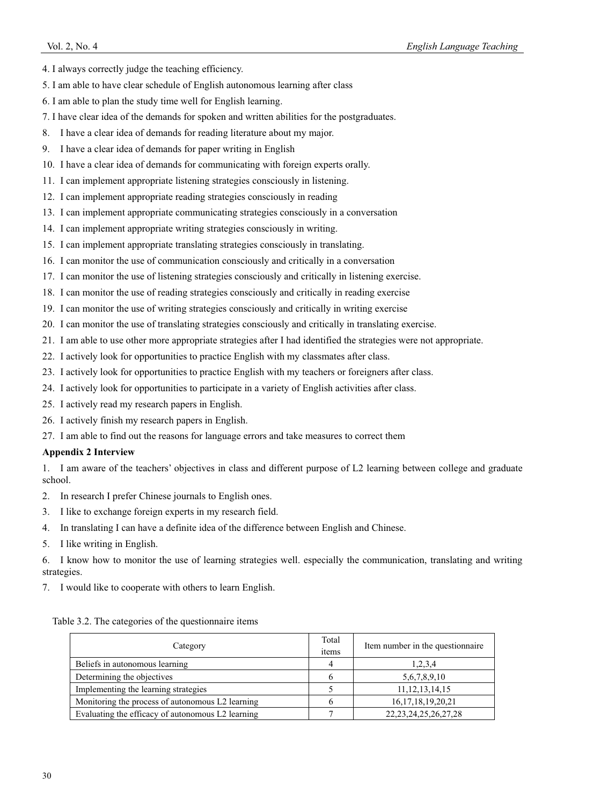- 4. I always correctly judge the teaching efficiency.
- 5. I am able to have clear schedule of English autonomous learning after class
- 6. I am able to plan the study time well for English learning.
- 7. I have clear idea of the demands for spoken and written abilities for the postgraduates.
- 8. I have a clear idea of demands for reading literature about my major.
- 9. I have a clear idea of demands for paper writing in English
- 10. I have a clear idea of demands for communicating with foreign experts orally.
- 11. I can implement appropriate listening strategies consciously in listening.
- 12. I can implement appropriate reading strategies consciously in reading
- 13. I can implement appropriate communicating strategies consciously in a conversation
- 14. I can implement appropriate writing strategies consciously in writing.
- 15. I can implement appropriate translating strategies consciously in translating.
- 16. I can monitor the use of communication consciously and critically in a conversation
- 17. I can monitor the use of listening strategies consciously and critically in listening exercise.
- 18. I can monitor the use of reading strategies consciously and critically in reading exercise
- 19. I can monitor the use of writing strategies consciously and critically in writing exercise
- 20. I can monitor the use of translating strategies consciously and critically in translating exercise.
- 21. I am able to use other more appropriate strategies after I had identified the strategies were not appropriate.
- 22. I actively look for opportunities to practice English with my classmates after class.
- 23. I actively look for opportunities to practice English with my teachers or foreigners after class.
- 24. I actively look for opportunities to participate in a variety of English activities after class.
- 25. I actively read my research papers in English.
- 26. I actively finish my research papers in English.
- 27. I am able to find out the reasons for language errors and take measures to correct them

#### **Appendix 2 Interview**

1. I am aware of the teachers' objectives in class and different purpose of L2 learning between college and graduate school.

2. In research I prefer Chinese journals to English ones.

- 3. I like to exchange foreign experts in my research field.
- 4. In translating I can have a definite idea of the difference between English and Chinese.
- 5. I like writing in English.

6. I know how to monitor the use of learning strategies well. especially the communication, translating and writing strategies.

7. I would like to cooperate with others to learn English.

| Table 3.2. The categories of the questionnaire items |  |  |  |
|------------------------------------------------------|--|--|--|
|------------------------------------------------------|--|--|--|

| Category                                          | Total<br>items | Item number in the questionnaire |
|---------------------------------------------------|----------------|----------------------------------|
| Beliefs in autonomous learning                    |                | 1,2,3,4                          |
| Determining the objectives                        |                | 5,6,7,8,9,10                     |
| Implementing the learning strategies              |                | 11, 12, 13, 14, 15               |
| Monitoring the process of autonomous L2 learning  |                | 16, 17, 18, 19, 20, 21           |
| Evaluating the efficacy of autonomous L2 learning |                | 22, 23, 24, 25, 26, 27, 28       |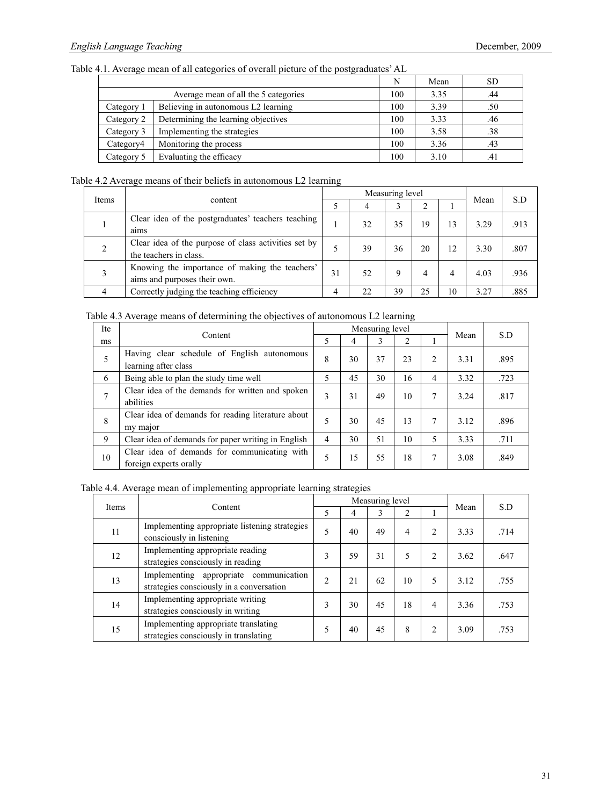Table 4.1. Average mean of all categories of overall picture of the postgraduates' AL

|            |                                      | N   | Mean | <b>SD</b> |
|------------|--------------------------------------|-----|------|-----------|
|            | Average mean of all the 5 categories | 100 | 3.35 | .44       |
| Category 1 | Believing in autonomous L2 learning  | 100 | 3.39 | .50       |
| Category 2 | Determining the learning objectives  | 100 | 3.33 | .46       |
| Category 3 | Implementing the strategies          | 100 | 3.58 | .38       |
| Category4  | Monitoring the process               | 100 | 3.36 | .43       |
| Category 5 | Evaluating the efficacy              | 100 | 3.10 | .41       |

# Table 4.2 Average means of their beliefs in autonomous L2 learning

|       |                                                                                |    | Measuring level |    | S.D |    |      |      |
|-------|--------------------------------------------------------------------------------|----|-----------------|----|-----|----|------|------|
| Items | content                                                                        |    | 4               |    |     |    | Mean |      |
|       | Clear idea of the postgraduates' teachers teaching<br>aims                     |    | 32              | 35 | 19  | 13 | 3.29 | .913 |
|       | Clear idea of the purpose of class activities set by<br>the teachers in class. |    | 39              | 36 | 20  | 12 | 3.30 | .807 |
| 3     | Knowing the importance of making the teachers'<br>aims and purposes their own. | 31 | 52              | 9  | 4   | 4  | 4.03 | .936 |
|       | Correctly judging the teaching efficiency                                      | 4  | 22              | 39 | 25  | 10 | 3.27 | .885 |

Table 4.3 Average means of determining the objectives of autonomous L2 learning

| <b>Ite</b>   |                                                                        |                | Measuring level | Mean | S.D |   |      |      |
|--------------|------------------------------------------------------------------------|----------------|-----------------|------|-----|---|------|------|
| ms           | Content                                                                | 5              | 4               | 3    |     |   |      |      |
|              | Having clear schedule of English autonomous<br>learning after class    | 8              | 30              | 37   | 23  | 2 | 3.31 | .895 |
| 6            | Being able to plan the study time well                                 | 5              | 45              | 30   | 16  | 4 | 3.32 | .723 |
| $\mathbf{7}$ | Clear idea of the demands for written and spoken<br>abilities          | 3              | 31              | 49   | 10  | 7 | 3.24 | .817 |
| 8            | Clear idea of demands for reading literature about<br>my major         | 5              | 30              | 45   | 13  | 7 | 3.12 | .896 |
| 9            | Clear idea of demands for paper writing in English                     | $\overline{4}$ | 30              | 51   | 10  | 5 | 3.33 | .711 |
| 10           | Clear idea of demands for communicating with<br>foreign experts orally | 5              | 15              | 55   | 18  | 7 | 3.08 | .849 |

Table 4.4. Average mean of implementing appropriate learning strategies

|              | Content                                                                            |                |    | Measuring level |    |                               |      |      |
|--------------|------------------------------------------------------------------------------------|----------------|----|-----------------|----|-------------------------------|------|------|
| <b>Items</b> |                                                                                    | 5              | 4  | 3               | C  |                               | Mean | S.D  |
| 11           | Implementing appropriate listening strategies<br>consciously in listening          | 5              | 40 | 49              | 4  | $\mathfrak{D}$                | 3.33 | .714 |
| 12           | Implementing appropriate reading<br>strategies consciously in reading              | 3              | 59 | 31              | 5  | 2                             | 3.62 | .647 |
| 13           | Implementing appropriate communication<br>strategies consciously in a conversation | $\mathfrak{D}$ | 21 | 62              | 10 | 5                             | 3.12 | .755 |
| 14           | Implementing appropriate writing<br>strategies consciously in writing              | 3              | 30 | 45              | 18 | 4                             | 3.36 | .753 |
| 15           | Implementing appropriate translating<br>strategies consciously in translating      | 5              | 40 | 45              | 8  | $\mathfrak{D}_{\mathfrak{p}}$ | 3.09 | .753 |